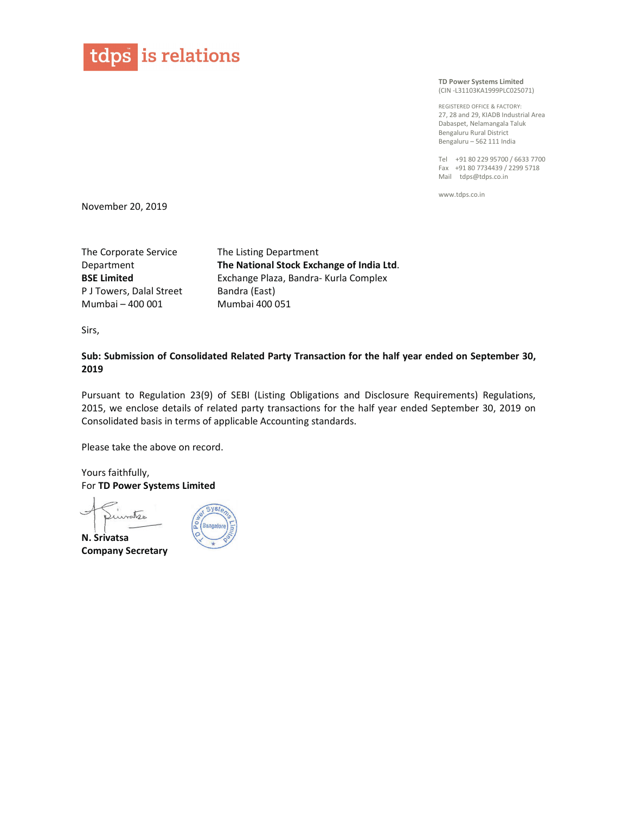

TD Power Systems Limited (CIN-L31103KA1999PLC025071)

REGISTERED OFFICE & FACTORY: 27, 28 and 29. KIADB Industrial Area Dabaspet, Nelamangala Taluk Bengaluru Rural District Bengaluru - 562 111 India

Tel +91 80 229 95700 / 6633 7700 Fax +91 80 7734439 / 2299 5718 Mail tdps@tdps.co.in

www.tdps.co.in

November 20, 2019

The Corporate Service The Listing Department Department The National Stock Exchange of India Ltd. **BSE Limited** Exchange Plaza, Bandra- Kurla Complex P J Towers, Dalal Street Bandra (East) Mumbai - 400 001 Mumbai 400 051

Sirs,

Sub: Submission of Consolidated Related Party Transaction for the half year ended on September 30, 2019

Pursuant to Regulation 23(9) of SEBI (Listing Obligations and Disclosure Requirements) Regulations, 2015, we enclose details of related party transactions for the half year ended September 30, 2019 on Consolidated basis in terms of applicable Accounting standards.

Please take the above on record.

Yours faithfully, For TD Power Systems Limited

Luncte

N. Srivatsa **Company Secretary**